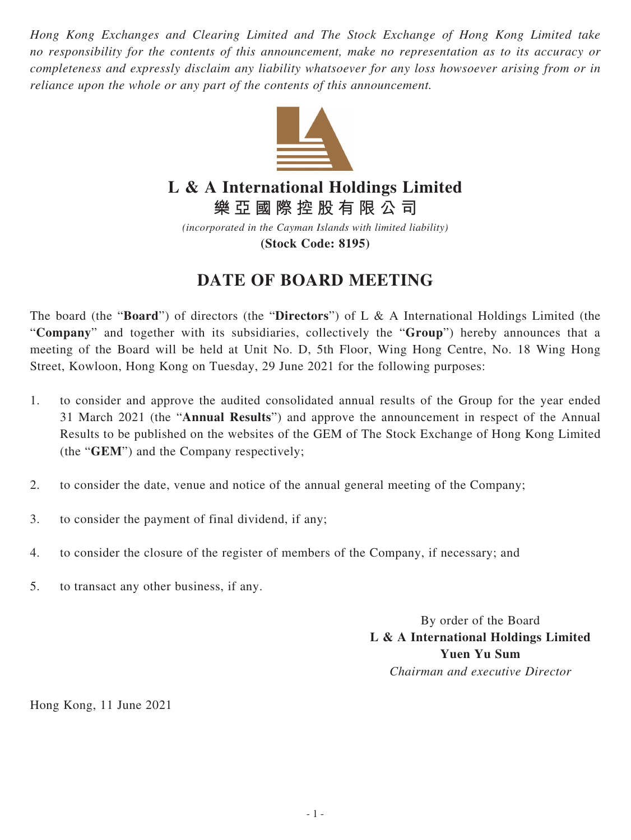*Hong Kong Exchanges and Clearing Limited and The Stock Exchange of Hong Kong Limited take no responsibility for the contents of this announcement, make no representation as to its accuracy or completeness and expressly disclaim any liability whatsoever for any loss howsoever arising from or in reliance upon the whole or any part of the contents of this announcement.*



## **L & A International Holdings Limited**

**樂亞國際控股有限公司**

*(incorporated in the Cayman Islands with limited liability)* **(Stock Code: 8195)**

## **DATE OF BOARD MEETING**

The board (the "**Board**") of directors (the "**Directors**") of L & A International Holdings Limited (the "**Company**" and together with its subsidiaries, collectively the "**Group**") hereby announces that a meeting of the Board will be held at Unit No. D, 5th Floor, Wing Hong Centre, No. 18 Wing Hong Street, Kowloon, Hong Kong on Tuesday, 29 June 2021 for the following purposes:

- 1. to consider and approve the audited consolidated annual results of the Group for the year ended 31 March 2021 (the "**Annual Results**") and approve the announcement in respect of the Annual Results to be published on the websites of the GEM of The Stock Exchange of Hong Kong Limited (the "**GEM**") and the Company respectively;
- 2. to consider the date, venue and notice of the annual general meeting of the Company;
- 3. to consider the payment of final dividend, if any;
- 4. to consider the closure of the register of members of the Company, if necessary; and
- 5. to transact any other business, if any.

By order of the Board **L & A International Holdings Limited Yuen Yu Sum** *Chairman and executive Director*

Hong Kong, 11 June 2021